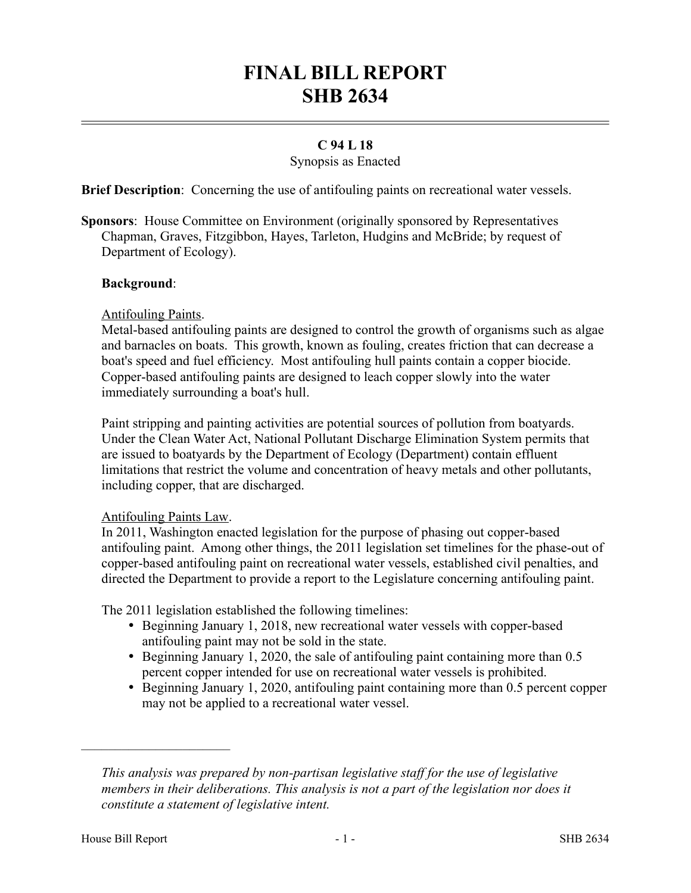# **FINAL BILL REPORT SHB 2634**

## **C 94 L 18**

#### Synopsis as Enacted

**Brief Description**: Concerning the use of antifouling paints on recreational water vessels.

**Sponsors**: House Committee on Environment (originally sponsored by Representatives Chapman, Graves, Fitzgibbon, Hayes, Tarleton, Hudgins and McBride; by request of Department of Ecology).

#### **Background**:

#### Antifouling Paints.

Metal-based antifouling paints are designed to control the growth of organisms such as algae and barnacles on boats. This growth, known as fouling, creates friction that can decrease a boat's speed and fuel efficiency. Most antifouling hull paints contain a copper biocide. Copper-based antifouling paints are designed to leach copper slowly into the water immediately surrounding a boat's hull.

Paint stripping and painting activities are potential sources of pollution from boatyards. Under the Clean Water Act, National Pollutant Discharge Elimination System permits that are issued to boatyards by the Department of Ecology (Department) contain effluent limitations that restrict the volume and concentration of heavy metals and other pollutants, including copper, that are discharged.

#### Antifouling Paints Law.

In 2011, Washington enacted legislation for the purpose of phasing out copper-based antifouling paint. Among other things, the 2011 legislation set timelines for the phase-out of copper-based antifouling paint on recreational water vessels, established civil penalties, and directed the Department to provide a report to the Legislature concerning antifouling paint.

The 2011 legislation established the following timelines:

- Beginning January 1, 2018, new recreational water vessels with copper-based antifouling paint may not be sold in the state.
- Beginning January 1, 2020, the sale of antifouling paint containing more than 0.5 percent copper intended for use on recreational water vessels is prohibited.
- Beginning January 1, 2020, antifouling paint containing more than 0.5 percent copper may not be applied to a recreational water vessel.

––––––––––––––––––––––

*This analysis was prepared by non-partisan legislative staff for the use of legislative members in their deliberations. This analysis is not a part of the legislation nor does it constitute a statement of legislative intent.*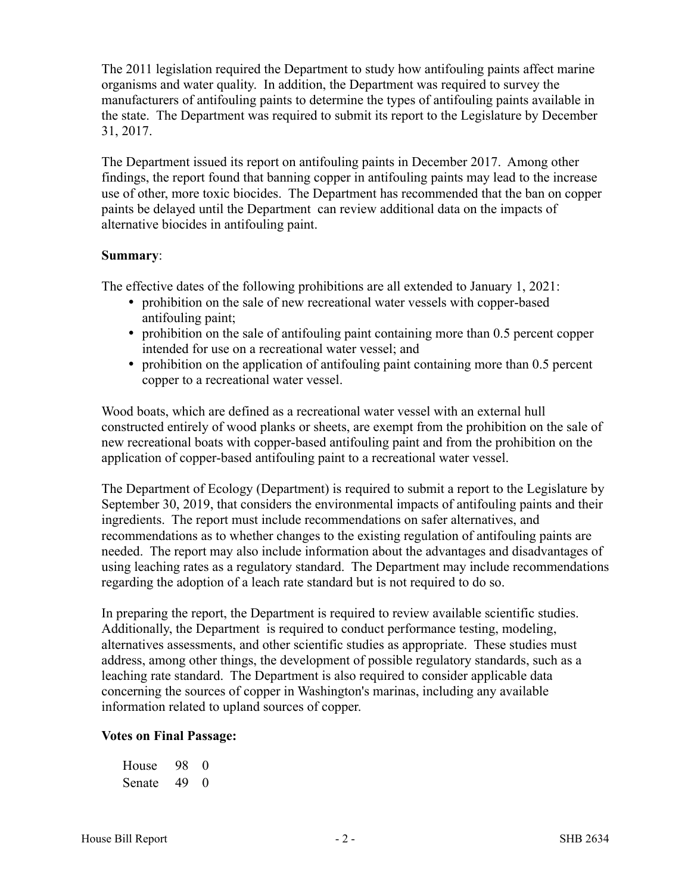The 2011 legislation required the Department to study how antifouling paints affect marine organisms and water quality. In addition, the Department was required to survey the manufacturers of antifouling paints to determine the types of antifouling paints available in the state. The Department was required to submit its report to the Legislature by December 31, 2017.

The Department issued its report on antifouling paints in December 2017. Among other findings, the report found that banning copper in antifouling paints may lead to the increase use of other, more toxic biocides. The Department has recommended that the ban on copper paints be delayed until the Department can review additional data on the impacts of alternative biocides in antifouling paint.

### **Summary**:

The effective dates of the following prohibitions are all extended to January 1, 2021:

- prohibition on the sale of new recreational water vessels with copper-based antifouling paint;
- prohibition on the sale of antifouling paint containing more than 0.5 percent copper intended for use on a recreational water vessel; and
- prohibition on the application of antifouling paint containing more than 0.5 percent copper to a recreational water vessel.

Wood boats, which are defined as a recreational water vessel with an external hull constructed entirely of wood planks or sheets, are exempt from the prohibition on the sale of new recreational boats with copper-based antifouling paint and from the prohibition on the application of copper-based antifouling paint to a recreational water vessel.

The Department of Ecology (Department) is required to submit a report to the Legislature by September 30, 2019, that considers the environmental impacts of antifouling paints and their ingredients. The report must include recommendations on safer alternatives, and recommendations as to whether changes to the existing regulation of antifouling paints are needed. The report may also include information about the advantages and disadvantages of using leaching rates as a regulatory standard. The Department may include recommendations regarding the adoption of a leach rate standard but is not required to do so.

In preparing the report, the Department is required to review available scientific studies. Additionally, the Department is required to conduct performance testing, modeling, alternatives assessments, and other scientific studies as appropriate. These studies must address, among other things, the development of possible regulatory standards, such as a leaching rate standard. The Department is also required to consider applicable data concerning the sources of copper in Washington's marinas, including any available information related to upland sources of copper.

#### **Votes on Final Passage:**

| House  | 98 | $\Omega$ |
|--------|----|----------|
| Senate | 49 | $\Omega$ |